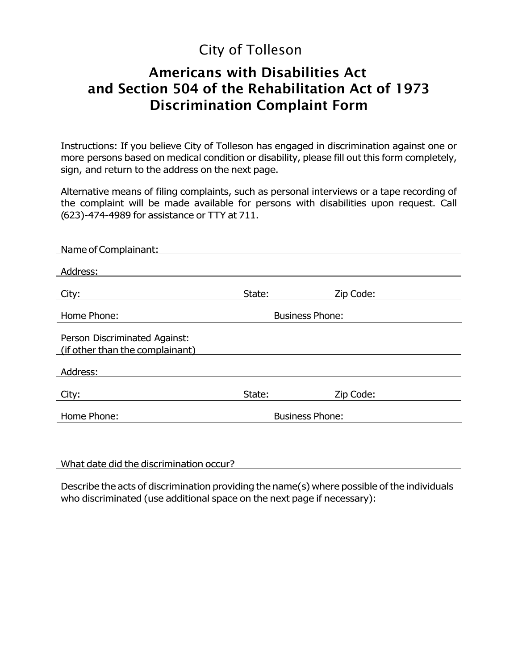# City of Tolleson

## **Americans with Disabilities Act and Section 504 of the Rehabilitation Act of 1973 Discrimination Complaint Form**

Instructions: If you believe City of Tolleson has engaged in discrimination against one or more persons based on medical condition or disability, please fill out this form completely, sign, and return to the address on the next page.

Alternative means of filing complaints, such as personal interviews or a tape recording of the complaint will be made available for persons with disabilities upon request. Call (623)-474-4989 for assistance or TTY at 711.

| Name of Complainant:                                             |                        |           |
|------------------------------------------------------------------|------------------------|-----------|
| Address:                                                         |                        |           |
| City:                                                            | State:                 | Zip Code: |
| Home Phone:                                                      | <b>Business Phone:</b> |           |
| Person Discriminated Against:<br>(if other than the complainant) |                        |           |
| Address:                                                         |                        |           |
| City:                                                            | State:                 | Zip Code: |
| Home Phone:                                                      | <b>Business Phone:</b> |           |
|                                                                  |                        |           |

What date did the discrimination occur?

Describe the acts of discrimination providing the name(s) where possible of the individuals who discriminated (use additional space on the next page if necessary):